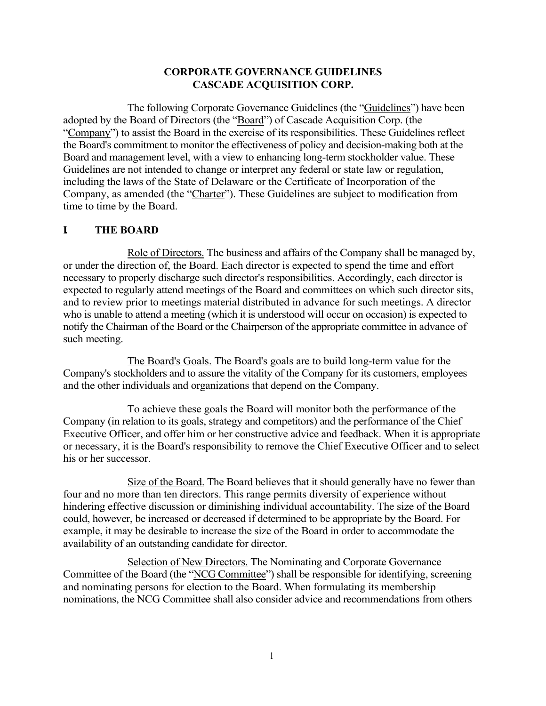### **CORPORATE GOVERNANCE GUIDELINES CASCADE ACQUISITION CORP.**

The following Corporate Governance Guidelines (the "Guidelines") have been adopted by the Board of Directors (the "Board") of Cascade Acquisition Corp. (the "Company") to assist the Board in the exercise of its responsibilities. These Guidelines reflect the Board's commitment to monitor the effectiveness of policy and decision-making both at the Board and management level, with a view to enhancing long-term stockholder value. These Guidelines are not intended to change or interpret any federal or state law or regulation, including the laws of the State of Delaware or the Certificate of Incorporation of the Company, as amended (the "Charter"). These Guidelines are subject to modification from time to time by the Board.

## **I. THE BOARD**

Role of Directors. The business and affairs of the Company shall be managed by, or under the direction of, the Board. Each director is expected to spend the time and effort necessary to properly discharge such director's responsibilities. Accordingly, each director is expected to regularly attend meetings of the Board and committees on which such director sits, and to review prior to meetings material distributed in advance for such meetings. A director who is unable to attend a meeting (which it is understood will occur on occasion) is expected to notify the Chairman of the Board or the Chairperson of the appropriate committee in advance of such meeting.

The Board's Goals. The Board's goals are to build long-term value for the Company's stockholders and to assure the vitality of the Company for its customers, employees and the other individuals and organizations that depend on the Company.

To achieve these goals the Board will monitor both the performance of the Company (in relation to its goals, strategy and competitors) and the performance of the Chief Executive Officer, and offer him or her constructive advice and feedback. When it is appropriate or necessary, it is the Board's responsibility to remove the Chief Executive Officer and to select his or her successor.

Size of the Board. The Board believes that it should generally have no fewer than four and no more than ten directors. This range permits diversity of experience without hindering effective discussion or diminishing individual accountability. The size of the Board could, however, be increased or decreased if determined to be appropriate by the Board. For example, it may be desirable to increase the size of the Board in order to accommodate the availability of an outstanding candidate for director.

Selection of New Directors. The Nominating and Corporate Governance Committee of the Board (the "NCG Committee") shall be responsible for identifying, screening and nominating persons for election to the Board. When formulating its membership nominations, the NCG Committee shall also consider advice and recommendations from others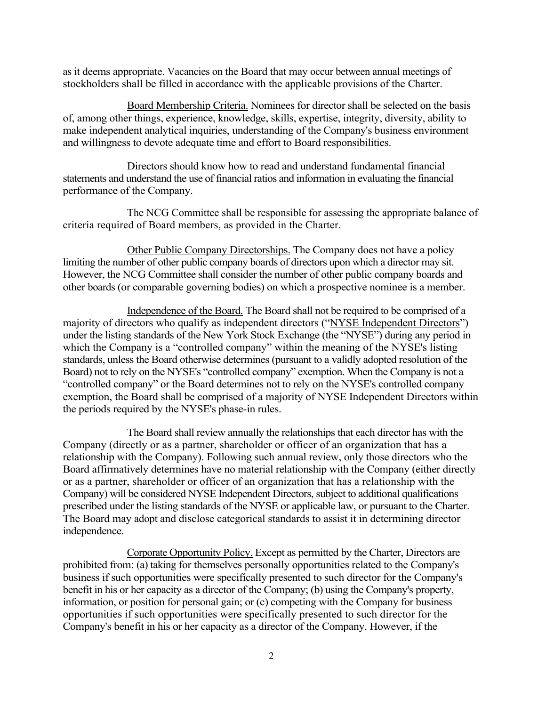as it deems appropriate. Vacancies on the Board that may occur between annual meetings of stockholders shall be filled in accordance with the applicable provisions of the Charter.

Board Membership Criteria. Nominees for director shall be selected on the basis of, among other things, experience, knowledge, skills, expertise, integrity, diversity, ability to make independent analytical inquiries, understanding of the Company's business environment and willingness to devote adequate time and effort to Board responsibilities.

Directors should know how to read and understand fundamental financial statements and understand the use of financial ratios and information in evaluating the financial performance of the Company.

The NCG Committee shall be responsible for assessing the appropriate balance of criteria required of Board members, as provided in the Charter.

Other Public Company Directorships. The Company does not have a policy limiting the number of other public company boards of directors upon which a director may sit. However, the NCG Committee shall consider the number of other public company boards and other boards (or comparable governing bodies) on which a prospective nominee is a member.

Independence of the Board. The Board shall not be required to be comprised of a majority of directors who qualify as independent directors ("NYSE Independent Directors") under the listing standards of the New York Stock Exchange (the "NYSE") during any period in which the Company is a "controlled company" within the meaning of the NYSE's listing standards, unless the Board otherwise determines (pursuant to a validly adopted resolution of the Board) not to rely on the NYSE's "controlled company" exemption. When the Company is not a "controlled company" or the Board determines not to rely on the NYSE's controlled company exemption, the Board shall be comprised of a majority of NYSE Independent Directors within the periods required by the NYSE's phase-in rules.

The Board shall review annually the relationships that each director has with the Company (directly or as a partner, shareholder or officer of an organization that has a relationship with the Company). Following such annual review, only those directors who the Board affirmatively determines have no material relationship with the Company (either directly or as a partner, shareholder or officer of an organization that has a relationship with the Company) will be considered NYSE Independent Directors, subject to additional qualifications prescribed under the listing standards of the NYSE or applicable law, or pursuant to the Charter. The Board may adopt and disclose categorical standards to assist it in determining director independence.

Corporate Opportunity Policy. Except as permitted by the Charter, Directors are prohibited from: (a) taking for themselves personally opportunities related to the Company's business if such opportunities were specifically presented to such director for the Company's benefit in his or her capacity as a director of the Company; (b) using the Company's property, information, or position for personal gain; or (c) competing with the Company for business opportunities if such opportunities were specifically presented to such director for the Company's benefit in his or her capacity as a director of the Company. However, if the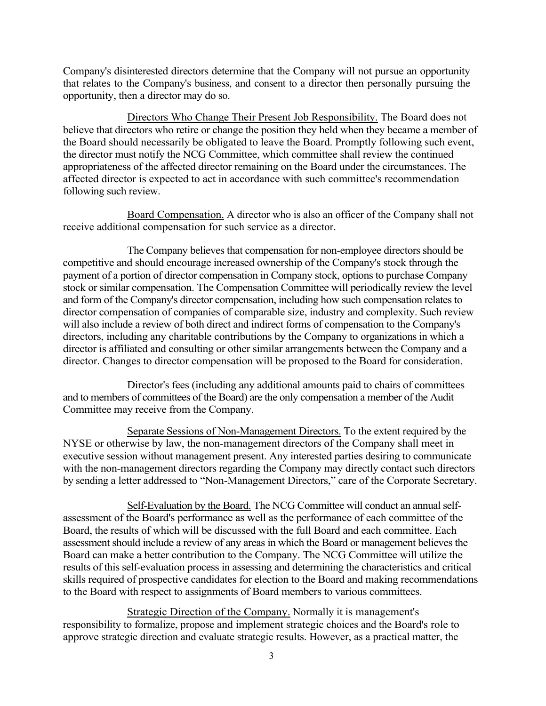Company's disinterested directors determine that the Company will not pursue an opportunity that relates to the Company's business, and consent to a director then personally pursuing the opportunity, then a director may do so.

Directors Who Change Their Present Job Responsibility. The Board does not believe that directors who retire or change the position they held when they became a member of the Board should necessarily be obligated to leave the Board. Promptly following such event, the director must notify the NCG Committee, which committee shall review the continued appropriateness of the affected director remaining on the Board under the circumstances. The affected director is expected to act in accordance with such committee's recommendation following such review.

Board Compensation. A director who is also an officer of the Company shall not receive additional compensation for such service as a director.

The Company believes that compensation for non-employee directors should be competitive and should encourage increased ownership of the Company's stock through the payment of a portion of director compensation in Company stock, options to purchase Company stock or similar compensation. The Compensation Committee will periodically review the level and form of the Company's director compensation, including how such compensation relates to director compensation of companies of comparable size, industry and complexity. Such review will also include a review of both direct and indirect forms of compensation to the Company's directors, including any charitable contributions by the Company to organizations in which a director is affiliated and consulting or other similar arrangements between the Company and a director. Changes to director compensation will be proposed to the Board for consideration.

Director's fees (including any additional amounts paid to chairs of committees and to members of committees of the Board) are the only compensation a member of the Audit Committee may receive from the Company.

Separate Sessions of Non-Management Directors. To the extent required by the NYSE or otherwise by law, the non-management directors of the Company shall meet in executive session without management present. Any interested parties desiring to communicate with the non-management directors regarding the Company may directly contact such directors by sending a letter addressed to "Non-Management Directors," care of the Corporate Secretary.

Self-Evaluation by the Board. The NCG Committee will conduct an annual selfassessment of the Board's performance as well as the performance of each committee of the Board, the results of which will be discussed with the full Board and each committee. Each assessment should include a review of any areas in which the Board or management believes the Board can make a better contribution to the Company. The NCG Committee will utilize the results of this self-evaluation process in assessing and determining the characteristics and critical skills required of prospective candidates for election to the Board and making recommendations to the Board with respect to assignments of Board members to various committees.

Strategic Direction of the Company. Normally it is management's responsibility to formalize, propose and implement strategic choices and the Board's role to approve strategic direction and evaluate strategic results. However, as a practical matter, the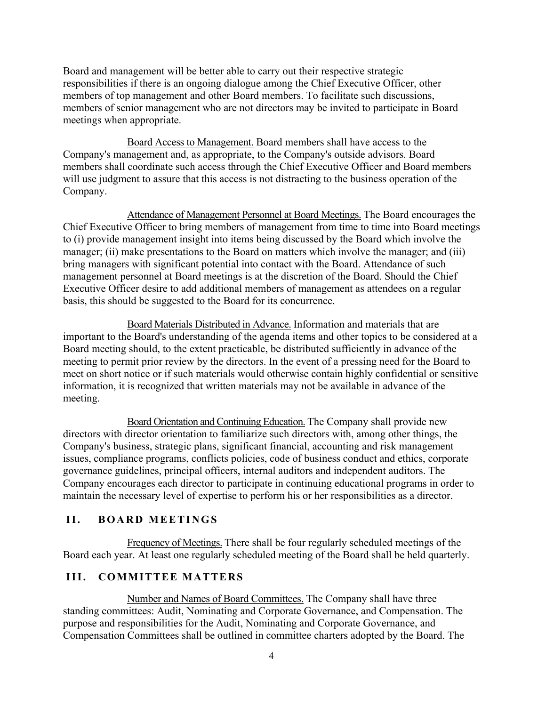Board and management will be better able to carry out their respective strategic responsibilities if there is an ongoing dialogue among the Chief Executive Officer, other members of top management and other Board members. To facilitate such discussions, members of senior management who are not directors may be invited to participate in Board meetings when appropriate.

Board Access to Management. Board members shall have access to the Company's management and, as appropriate, to the Company's outside advisors. Board members shall coordinate such access through the Chief Executive Officer and Board members will use judgment to assure that this access is not distracting to the business operation of the Company.

Attendance of Management Personnel at Board Meetings. The Board encourages the Chief Executive Officer to bring members of management from time to time into Board meetings to (i) provide management insight into items being discussed by the Board which involve the manager; (ii) make presentations to the Board on matters which involve the manager; and (iii) bring managers with significant potential into contact with the Board. Attendance of such management personnel at Board meetings is at the discretion of the Board. Should the Chief Executive Officer desire to add additional members of management as attendees on a regular basis, this should be suggested to the Board for its concurrence.

Board Materials Distributed in Advance. Information and materials that are important to the Board's understanding of the agenda items and other topics to be considered at a Board meeting should, to the extent practicable, be distributed sufficiently in advance of the meeting to permit prior review by the directors. In the event of a pressing need for the Board to meet on short notice or if such materials would otherwise contain highly confidential or sensitive information, it is recognized that written materials may not be available in advance of the meeting.

Board Orientation and Continuing Education. The Company shall provide new directors with director orientation to familiarize such directors with, among other things, the Company's business, strategic plans, significant financial, accounting and risk management issues, compliance programs, conflicts policies, code of business conduct and ethics, corporate governance guidelines, principal officers, internal auditors and independent auditors. The Company encourages each director to participate in continuing educational programs in order to maintain the necessary level of expertise to perform his or her responsibilities as a director.

# **II. BOARD MEETINGS**

Frequency of Meetings. There shall be four regularly scheduled meetings of the Board each year. At least one regularly scheduled meeting of the Board shall be held quarterly.

# **III. COMMITTEE MATTERS**

Number and Names of Board Committees. The Company shall have three standing committees: Audit, Nominating and Corporate Governance, and Compensation. The purpose and responsibilities for the Audit, Nominating and Corporate Governance, and Compensation Committees shall be outlined in committee charters adopted by the Board. The